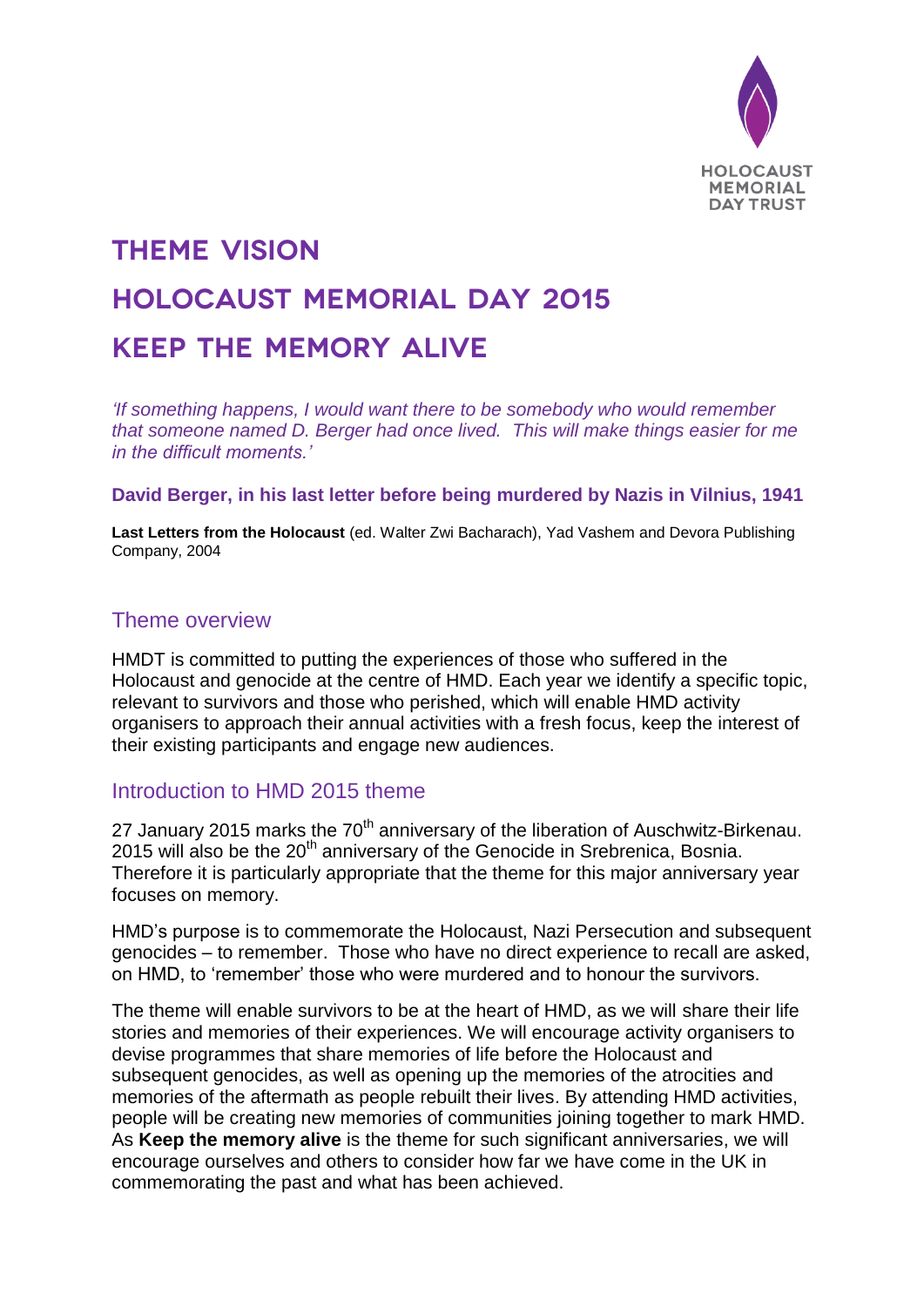

# **THEME VISION Holocaust Memorial Day 2015 Keep the memory alive**

*'If something happens, I would want there to be somebody who would remember that someone named D. Berger had once lived. This will make things easier for me in the difficult moments.'*

**David Berger, in his last letter before being murdered by Nazis in Vilnius, 1941**

**Last Letters from the Holocaust** (ed. Walter Zwi Bacharach), Yad Vashem and Devora Publishing Company, 2004

### Theme overview

HMDT is committed to putting the experiences of those who suffered in the Holocaust and genocide at the centre of HMD. Each year we identify a specific topic, relevant to survivors and those who perished, which will enable HMD activity organisers to approach their annual activities with a fresh focus, keep the interest of their existing participants and engage new audiences.

### Introduction to HMD 2015 theme

27 January 2015 marks the  $70<sup>th</sup>$  anniversary of the liberation of Auschwitz-Birkenau. 2015 will also be the  $20<sup>th</sup>$  anniversary of the Genocide in Srebrenica, Bosnia. Therefore it is particularly appropriate that the theme for this major anniversary year focuses on memory.

HMD's purpose is to commemorate the Holocaust, Nazi Persecution and subsequent genocides – to remember. Those who have no direct experience to recall are asked, on HMD, to 'remember' those who were murdered and to honour the survivors.

The theme will enable survivors to be at the heart of HMD, as we will share their life stories and memories of their experiences. We will encourage activity organisers to devise programmes that share memories of life before the Holocaust and subsequent genocides, as well as opening up the memories of the atrocities and memories of the aftermath as people rebuilt their lives. By attending HMD activities, people will be creating new memories of communities joining together to mark HMD. As **Keep the memory alive** is the theme for such significant anniversaries, we will encourage ourselves and others to consider how far we have come in the UK in commemorating the past and what has been achieved.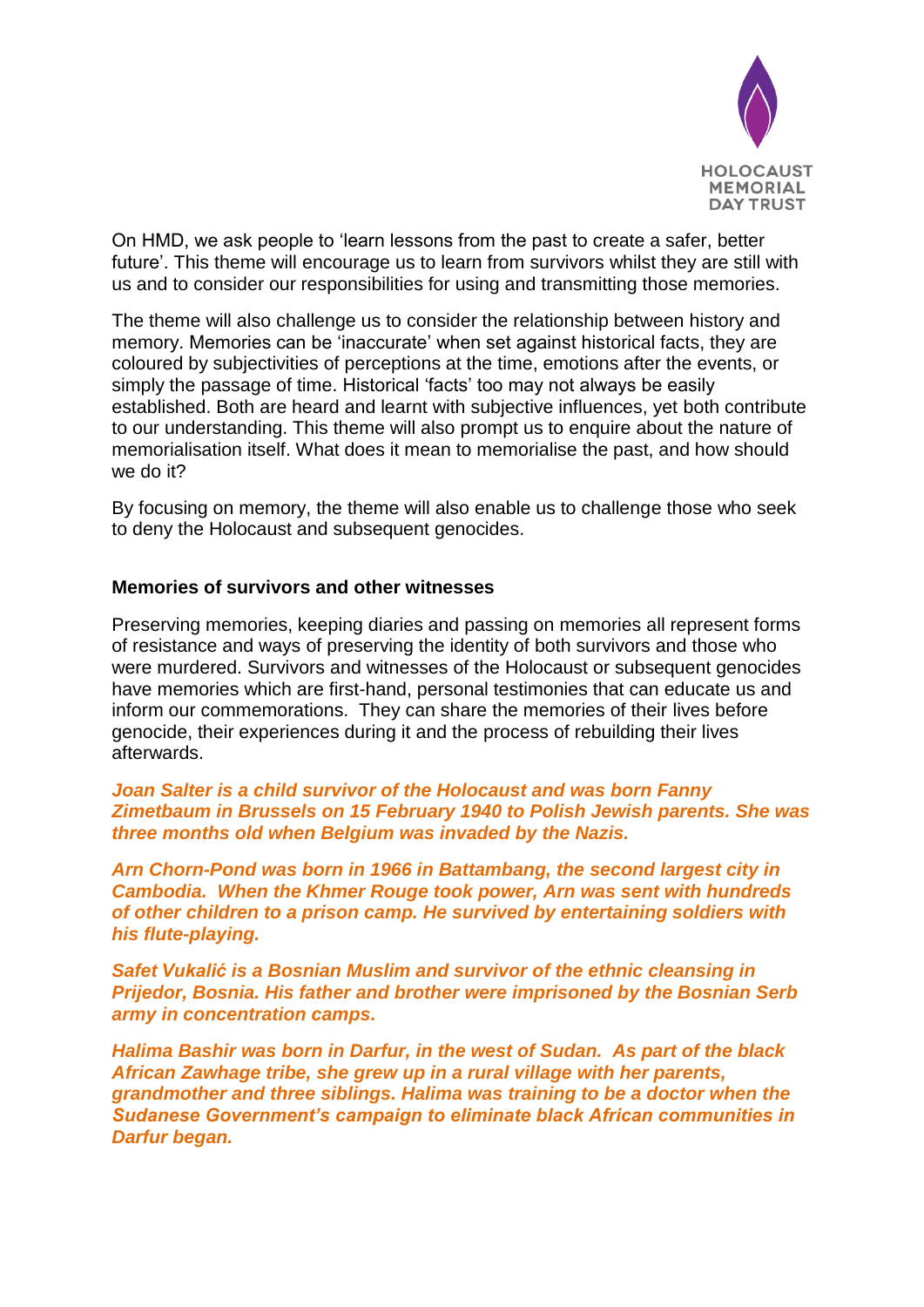

On HMD, we ask people to 'learn lessons from the past to create a safer, better future'. This theme will encourage us to learn from survivors whilst they are still with us and to consider our responsibilities for using and transmitting those memories.

The theme will also challenge us to consider the relationship between history and memory. Memories can be 'inaccurate' when set against historical facts, they are coloured by subjectivities of perceptions at the time, emotions after the events, or simply the passage of time. Historical 'facts' too may not always be easily established. Both are heard and learnt with subjective influences, yet both contribute to our understanding. This theme will also prompt us to enquire about the nature of memorialisation itself. What does it mean to memorialise the past, and how should we do it?

By focusing on memory, the theme will also enable us to challenge those who seek to deny the Holocaust and subsequent genocides.

#### **Memories of survivors and other witnesses**

Preserving memories, keeping diaries and passing on memories all represent forms of resistance and ways of preserving the identity of both survivors and those who were murdered. Survivors and witnesses of the Holocaust or subsequent genocides have memories which are first-hand, personal testimonies that can educate us and inform our commemorations. They can share the memories of their lives before genocide, their experiences during it and the process of rebuilding their lives afterwards.

*Joan Salter is a child survivor of the Holocaust and was born Fanny Zimetbaum in Brussels on 15 February 1940 to Polish Jewish parents. She was three months old when Belgium was invaded by the Nazis.*

*Arn Chorn-Pond was born in 1966 in Battambang, the second largest city in Cambodia. When the Khmer Rouge took power, Arn was sent with hundreds of other children to a prison camp. He survived by entertaining soldiers with his flute-playing.*

*Safet Vukalić is a Bosnian Muslim and survivor of the ethnic cleansing in Prijedor, Bosnia. His father and brother were imprisoned by the Bosnian Serb army in concentration camps.*

*Halima Bashir was born in Darfur, in the west of Sudan. As part of the black African Zawhage tribe, she grew up in a rural village with her parents, grandmother and three siblings. Halima was training to be a doctor when the Sudanese Government's campaign to eliminate black African communities in Darfur began.*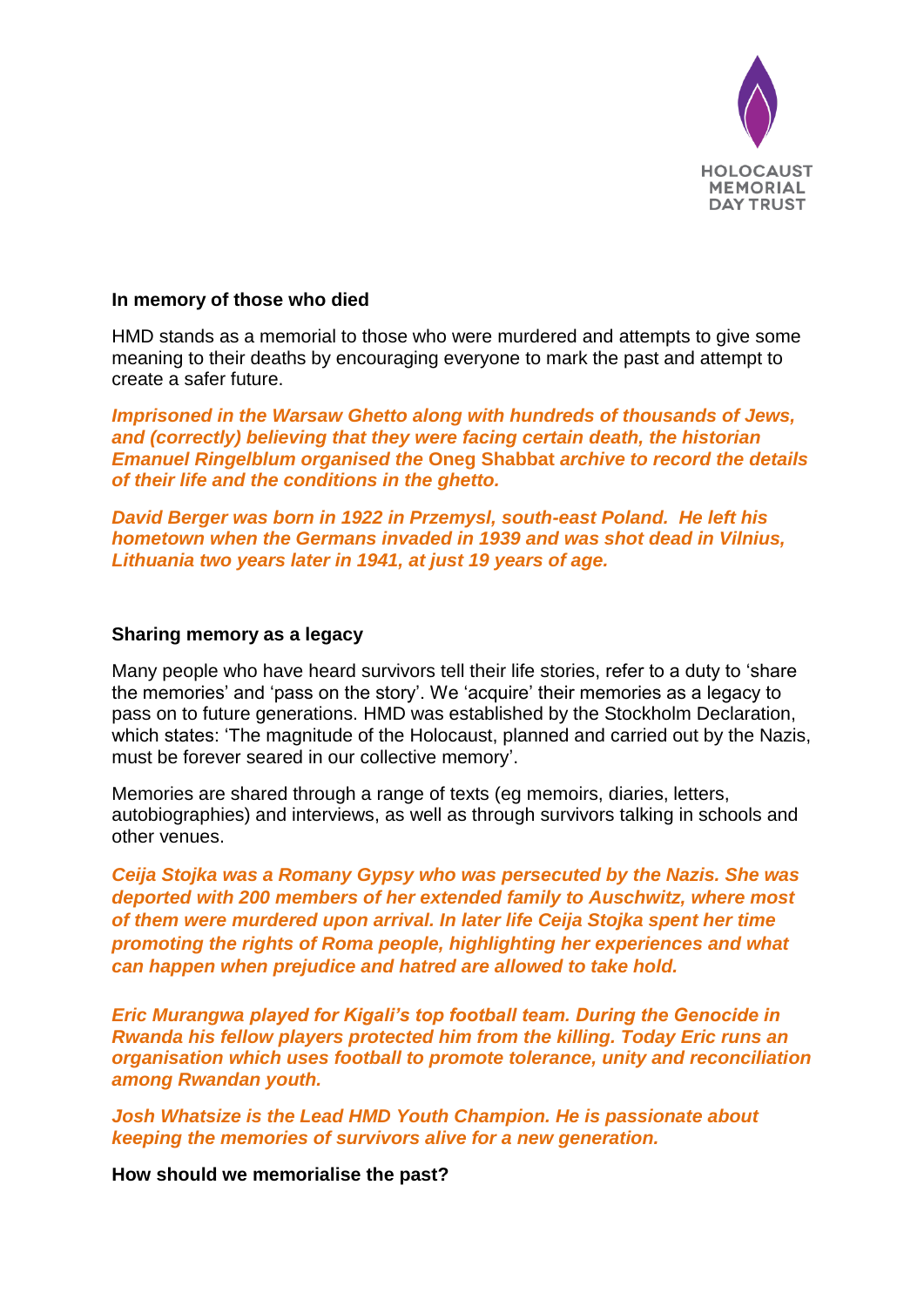

### **In memory of those who died**

HMD stands as a memorial to those who were murdered and attempts to give some meaning to their deaths by encouraging everyone to mark the past and attempt to create a safer future.

*Imprisoned in the Warsaw Ghetto along with hundreds of thousands of Jews, and (correctly) believing that they were facing certain death, the historian Emanuel Ringelblum organised the* **Oneg Shabbat** *archive to record the details of their life and the conditions in the ghetto.*

*David Berger was born in 1922 in Przemysl, south-east Poland. He left his hometown when the Germans invaded in 1939 and was shot dead in Vilnius, Lithuania two years later in 1941, at just 19 years of age.*

#### **Sharing memory as a legacy**

Many people who have heard survivors tell their life stories, refer to a duty to 'share the memories' and 'pass on the story'. We 'acquire' their memories as a legacy to pass on to future generations. HMD was established by the Stockholm Declaration, which states: 'The magnitude of the Holocaust, planned and carried out by the Nazis, must be forever seared in our collective memory'.

Memories are shared through a range of texts (eg memoirs, diaries, letters, autobiographies) and interviews, as well as through survivors talking in schools and other venues.

*Ceija Stojka was a Romany Gypsy who was persecuted by the Nazis. She was deported with 200 members of her extended family to Auschwitz, where most of them were murdered upon arrival. In later life Ceija Stojka spent her time promoting the rights of Roma people, highlighting her experiences and what can happen when prejudice and hatred are allowed to take hold.*

*Eric Murangwa played for Kigali's top football team. During the Genocide in Rwanda his fellow players protected him from the killing. Today Eric runs an organisation which uses football to promote tolerance, unity and reconciliation among Rwandan youth.*

*Josh Whatsize is the Lead HMD Youth Champion. He is passionate about keeping the memories of survivors alive for a new generation.* 

**How should we memorialise the past?**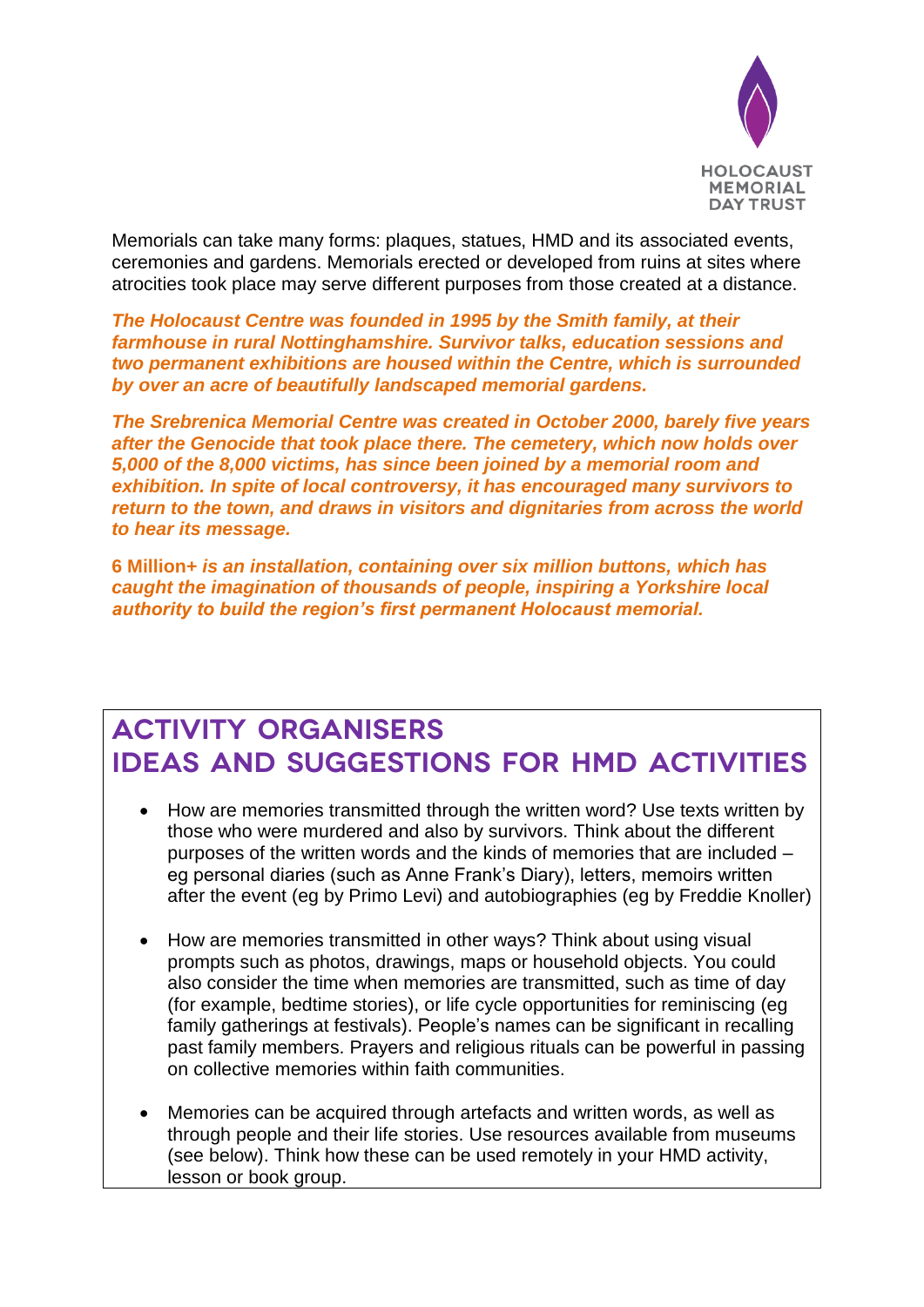

Memorials can take many forms: plaques, statues, HMD and its associated events, ceremonies and gardens. Memorials erected or developed from ruins at sites where atrocities took place may serve different purposes from those created at a distance.

*The Holocaust Centre was founded in 1995 by the Smith family, at their farmhouse in rural Nottinghamshire. Survivor talks, education sessions and two permanent exhibitions are housed within the Centre, which is surrounded by over an acre of beautifully landscaped memorial gardens.*

*The Srebrenica Memorial Centre was created in October 2000, barely five years after the Genocide that took place there. The cemetery, which now holds over 5,000 of the 8,000 victims, has since been joined by a memorial room and exhibition. In spite of local controversy, it has encouraged many survivors to return to the town, and draws in visitors and dignitaries from across the world to hear its message.*

**6 Million+** *is an installation, containing over six million buttons, which has caught the imagination of thousands of people, inspiring a Yorkshire local authority to build the region's first permanent Holocaust memorial.*

# **Activity organisers ideas and suggestions for HMD activities**

- How are memories transmitted through the written word? Use texts written by those who were murdered and also by survivors. Think about the different purposes of the written words and the kinds of memories that are included – eg personal diaries (such as Anne Frank's Diary), letters, memoirs written after the event (eg by Primo Levi) and autobiographies (eg by Freddie Knoller)
- How are memories transmitted in other ways? Think about using visual prompts such as photos, drawings, maps or household objects. You could also consider the time when memories are transmitted, such as time of day (for example, bedtime stories), or life cycle opportunities for reminiscing (eg family gatherings at festivals). People's names can be significant in recalling past family members. Prayers and religious rituals can be powerful in passing on collective memories within faith communities.
- Memories can be acquired through artefacts and written words, as well as through people and their life stories. Use resources available from museums (see below). Think how these can be used remotely in your HMD activity, lesson or book group.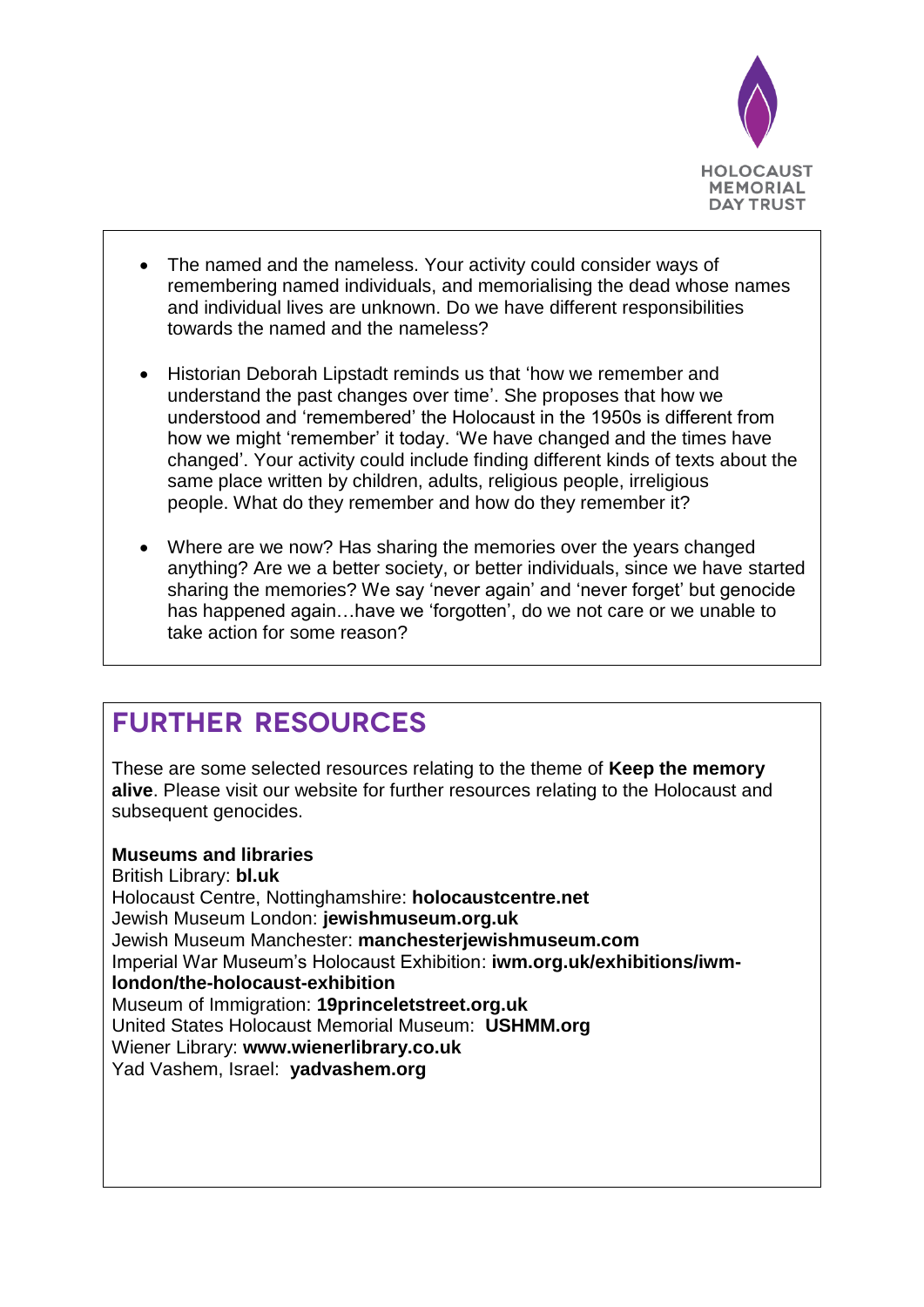

- The named and the nameless. Your activity could consider ways of remembering named individuals, and memorialising the dead whose names and individual lives are unknown. Do we have different responsibilities towards the named and the nameless?
- Historian Deborah Lipstadt reminds us that 'how we remember and understand the past changes over time'. She proposes that how we understood and 'remembered' the Holocaust in the 1950s is different from how we might 'remember' it today. 'We have changed and the times have changed'. Your activity could include finding different kinds of texts about the same place written by children, adults, religious people, irreligious people. What do they remember and how do they remember it?
- Where are we now? Has sharing the memories over the years changed anything? Are we a better society, or better individuals, since we have started sharing the memories? We say 'never again' and 'never forget' but genocide has happened again…have we 'forgotten', do we not care or we unable to take action for some reason?

# **Further resources**

These are some selected resources relating to the theme of **Keep the memory alive**. Please visit our website for further resources relating to the Holocaust and subsequent genocides.

### **Museums and libraries**

British Library: **bl.uk** Holocaust Centre, Nottinghamshire: **holocaustcentre.net** Jewish Museum London: **jewishmuseum.org.uk** Jewish Museum Manchester: **manchesterjewishmuseum.com** Imperial War Museum's Holocaust Exhibition: **iwm.org.uk/exhibitions/iwmlondon/the-holocaust-exhibition** Museum of Immigration: **19princeletstreet.org.uk** United States Holocaust Memorial Museum: **USHMM.org** Wiener Library: **www.wienerlibrary.co.uk** Yad Vashem, Israel: **yadvashem.org**